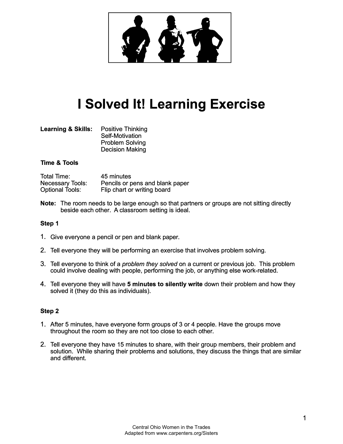

# **I Solved It! Learning Exercise**

| <b>Learning &amp; Skills:</b> | <b>Positive Thinking</b> |
|-------------------------------|--------------------------|
|                               | <b>Self-Motivation</b>   |
|                               | <b>Problem Solving</b>   |
|                               | <b>Decision Making</b>   |

# **Time & Tools**

| Total Time:             | 45 minutes                      |
|-------------------------|---------------------------------|
| <b>Necessary Tools:</b> | Pencils or pens and blank paper |
| <b>Optional Tools:</b>  | Flip chart or writing board     |

**Note:** The room needs to be large enough so that partners or groups are not sitting directly beside each other. A classroom setting is ideal.

#### **Step 1**

- 1. Give everyone a pencil or pen and blank paper.
- 2. Tell everyone they will be performing an exercise that involves problem solving.
- 3. Tell everyone to think of a *problem they solved* on a current or previous job. This problem could involve dealing with people, performing the job, or anything else work-related.
- 4. Tell everyone they will have **5 minutes to silently write** down their problem and how they solved it (they do this as individuals).

#### **Step 2**

- 1. After 5 minutes, have everyone form groups of 3 or 4 people. Have the groups move throughout the room so they are not too close to each other.
- 2. Tell everyone they have 15 minutes to share, with their group members, their problem and solution. While sharing their problems and solutions, they discuss the things that are similar and different.